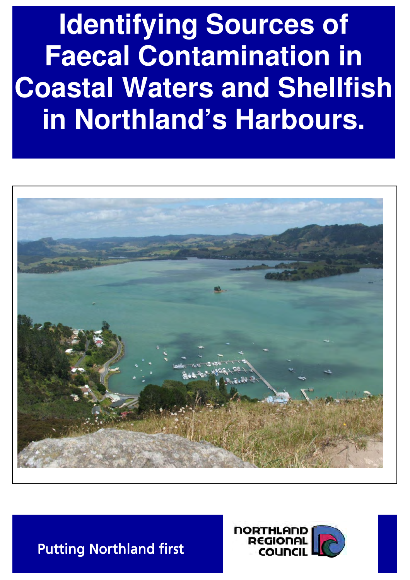**Identifying Sources of Faecal Contamination in Coastal Waters and Shellfish in Northland's Harbours.**





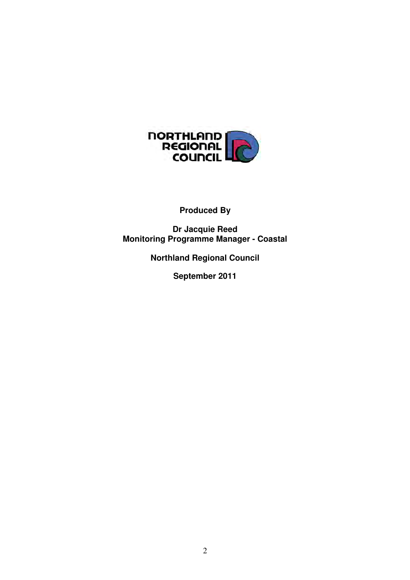

## **Produced By**

**Dr Jacquie Reed Monitoring Programme Manager - Coastal** 

**Northland Regional Council** 

**September 2011**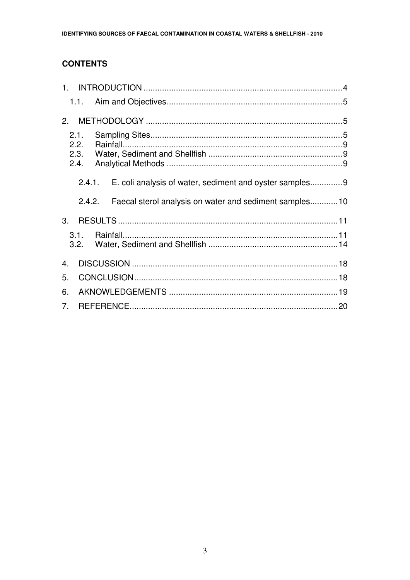### **CONTENTS**

|                | 1.1.         |                                                         |  |
|----------------|--------------|---------------------------------------------------------|--|
| 2.             |              |                                                         |  |
|                | 2.1.<br>2.2. |                                                         |  |
|                | 2.3.<br>2.4. |                                                         |  |
|                | 2.4.1.       | E. coli analysis of water, sediment and oyster samples9 |  |
|                | 2.4.2.       | Faecal sterol analysis on water and sediment samples10  |  |
| 3.             |              |                                                         |  |
|                | 3.1.<br>3.2. |                                                         |  |
| 4.             |              |                                                         |  |
| 5.             |              |                                                         |  |
| 6.             |              |                                                         |  |
| 7 <sub>1</sub> |              |                                                         |  |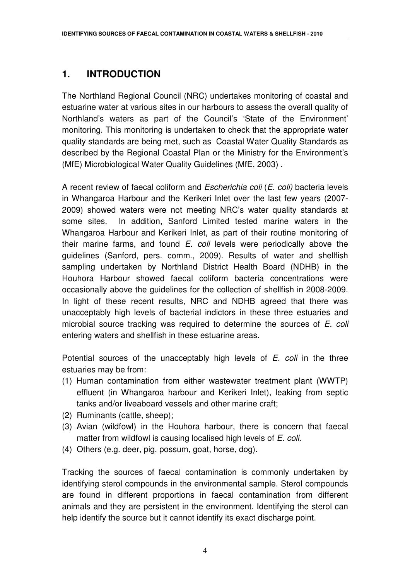## **1. INTRODUCTION**

The Northland Regional Council (NRC) undertakes monitoring of coastal and estuarine water at various sites in our harbours to assess the overall quality of Northland's waters as part of the Council's 'State of the Environment' monitoring. This monitoring is undertaken to check that the appropriate water quality standards are being met, such as Coastal Water Quality Standards as described by the Regional Coastal Plan or the Ministry for the Environment's (MfE) Microbiological Water Quality Guidelines (MfE, 2003) .

A recent review of faecal coliform and Escherichia coli (E. coli) bacteria levels in Whangaroa Harbour and the Kerikeri Inlet over the last few years (2007- 2009) showed waters were not meeting NRC's water quality standards at some sites. In addition, Sanford Limited tested marine waters in the Whangaroa Harbour and Kerikeri Inlet, as part of their routine monitoring of their marine farms, and found E. coli levels were periodically above the guidelines (Sanford, pers. comm., 2009). Results of water and shellfish sampling undertaken by Northland District Health Board (NDHB) in the Houhora Harbour showed faecal coliform bacteria concentrations were occasionally above the guidelines for the collection of shellfish in 2008-2009. In light of these recent results, NRC and NDHB agreed that there was unacceptably high levels of bacterial indictors in these three estuaries and microbial source tracking was required to determine the sources of  $E$ . coli entering waters and shellfish in these estuarine areas.

Potential sources of the unacceptably high levels of E. coli in the three estuaries may be from:

- (1) Human contamination from either wastewater treatment plant (WWTP) effluent (in Whangaroa harbour and Kerikeri Inlet), leaking from septic tanks and/or liveaboard vessels and other marine craft;
- (2) Ruminants (cattle, sheep);
- (3) Avian (wildfowl) in the Houhora harbour, there is concern that faecal matter from wildfowl is causing localised high levels of E. coli.
- (4) Others (e.g. deer, pig, possum, goat, horse, dog).

Tracking the sources of faecal contamination is commonly undertaken by identifying sterol compounds in the environmental sample. Sterol compounds are found in different proportions in faecal contamination from different animals and they are persistent in the environment. Identifying the sterol can help identify the source but it cannot identify its exact discharge point.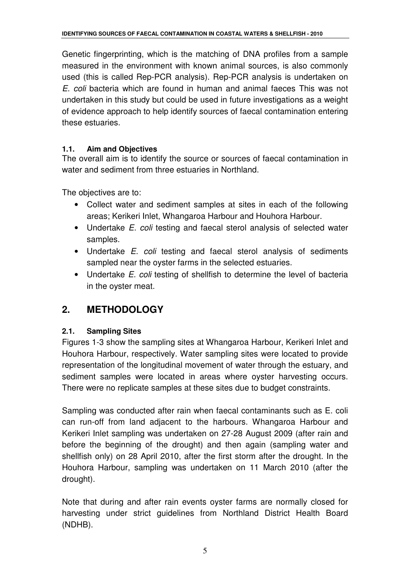Genetic fingerprinting, which is the matching of DNA profiles from a sample measured in the environment with known animal sources, is also commonly used (this is called Rep-PCR analysis). Rep-PCR analysis is undertaken on E. coli bacteria which are found in human and animal faeces This was not undertaken in this study but could be used in future investigations as a weight of evidence approach to help identify sources of faecal contamination entering these estuaries.

### **1.1. Aim and Objectives**

The overall aim is to identify the source or sources of faecal contamination in water and sediment from three estuaries in Northland.

The objectives are to:

- Collect water and sediment samples at sites in each of the following areas; Kerikeri Inlet, Whangaroa Harbour and Houhora Harbour.
- Undertake *E. coli* testing and faecal sterol analysis of selected water samples.
- Undertake *E. coli* testing and faecal sterol analysis of sediments sampled near the oyster farms in the selected estuaries.
- Undertake *E. coli* testing of shellfish to determine the level of bacteria in the oyster meat.

## **2. METHODOLOGY**

## **2.1. Sampling Sites**

Figures 1-3 show the sampling sites at Whangaroa Harbour, Kerikeri Inlet and Houhora Harbour, respectively. Water sampling sites were located to provide representation of the longitudinal movement of water through the estuary, and sediment samples were located in areas where oyster harvesting occurs. There were no replicate samples at these sites due to budget constraints.

Sampling was conducted after rain when faecal contaminants such as E. coli can run-off from land adjacent to the harbours. Whangaroa Harbour and Kerikeri Inlet sampling was undertaken on 27-28 August 2009 (after rain and before the beginning of the drought) and then again (sampling water and shellfish only) on 28 April 2010, after the first storm after the drought. In the Houhora Harbour, sampling was undertaken on 11 March 2010 (after the drought).

Note that during and after rain events oyster farms are normally closed for harvesting under strict guidelines from Northland District Health Board (NDHB).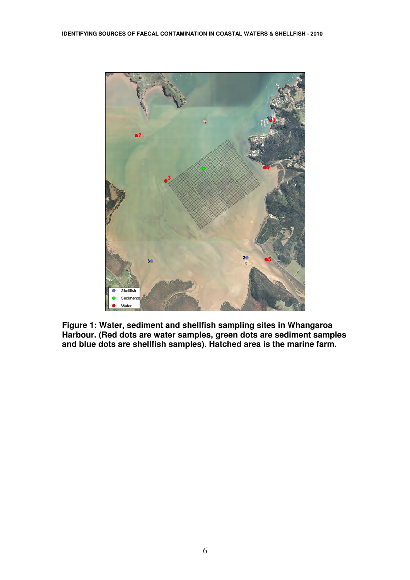

**Figure 1: Water, sediment and shellfish sampling sites in Whangaroa Harbour. (Red dots are water samples, green dots are sediment samples and blue dots are shellfish samples). Hatched area is the marine farm.**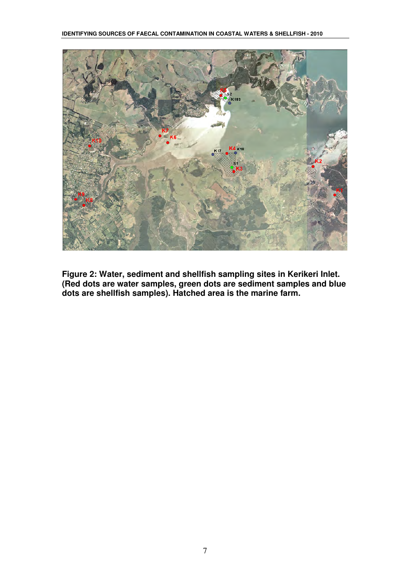

**Figure 2: Water, sediment and shellfish sampling sites in Kerikeri Inlet. (Red dots are water samples, green dots are sediment samples and blue dots are shellfish samples). Hatched area is the marine farm.**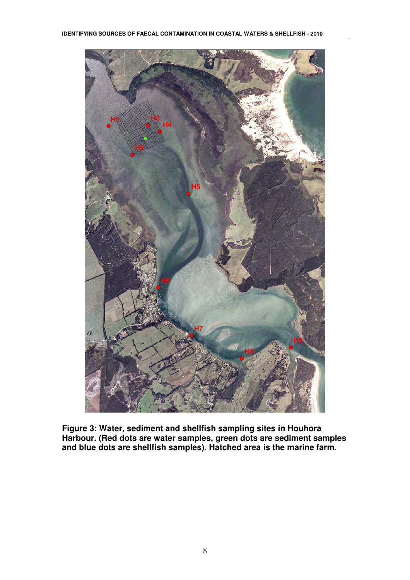

**Figure 3: Water, sediment and shellfish sampling sites in Houhora Harbour. (Red dots are water samples, green dots are sediment samples and blue dots are shellfish samples). Hatched area is the marine farm.**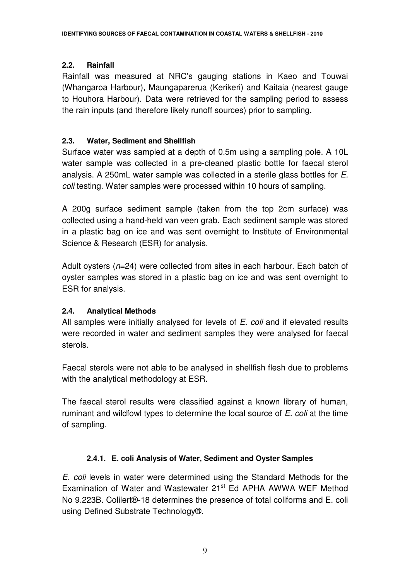#### **2.2. Rainfall**

Rainfall was measured at NRC's gauging stations in Kaeo and Touwai (Whangaroa Harbour), Maungaparerua (Kerikeri) and Kaitaia (nearest gauge to Houhora Harbour). Data were retrieved for the sampling period to assess the rain inputs (and therefore likely runoff sources) prior to sampling.

#### **2.3. Water, Sediment and Shellfish**

Surface water was sampled at a depth of 0.5m using a sampling pole. A 10L water sample was collected in a pre-cleaned plastic bottle for faecal sterol analysis. A 250mL water sample was collected in a sterile glass bottles for E. coli testing. Water samples were processed within 10 hours of sampling.

A 200g surface sediment sample (taken from the top 2cm surface) was collected using a hand-held van veen grab. Each sediment sample was stored in a plastic bag on ice and was sent overnight to Institute of Environmental Science & Research (ESR) for analysis.

Adult oysters  $(n=24)$  were collected from sites in each harbour. Each batch of oyster samples was stored in a plastic bag on ice and was sent overnight to ESR for analysis.

#### **2.4. Analytical Methods**

All samples were initially analysed for levels of E. coli and if elevated results were recorded in water and sediment samples they were analysed for faecal sterols.

Faecal sterols were not able to be analysed in shellfish flesh due to problems with the analytical methodology at ESR.

The faecal sterol results were classified against a known library of human, ruminant and wildfowl types to determine the local source of E. coli at the time of sampling.

### **2.4.1. E. coli Analysis of Water, Sediment and Oyster Samples**

E. coli levels in water were determined using the Standard Methods for the Examination of Water and Wastewater 21<sup>st</sup> Ed APHA AWWA WEF Method No 9.223B. Colilert®-18 determines the presence of total coliforms and E. coli using Defined Substrate Technology®.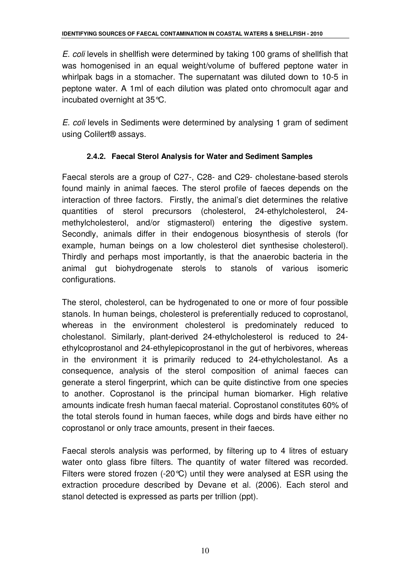E. coli levels in shellfish were determined by taking 100 grams of shellfish that was homogenised in an equal weight/volume of buffered peptone water in whirlpak bags in a stomacher. The supernatant was diluted down to 10-5 in peptone water. A 1ml of each dilution was plated onto chromocult agar and incubated overnight at 35°C.

E. coli levels in Sediments were determined by analysing 1 gram of sediment using Colilert® assays.

### **2.4.2. Faecal Sterol Analysis for Water and Sediment Samples**

Faecal sterols are a group of C27-, C28- and C29- cholestane-based sterols found mainly in animal faeces. The sterol profile of faeces depends on the interaction of three factors. Firstly, the animal's diet determines the relative quantities of sterol precursors (cholesterol, 24-ethylcholesterol, 24 methylcholesterol, and/or stigmasterol) entering the digestive system. Secondly, animals differ in their endogenous biosynthesis of sterols (for example, human beings on a low cholesterol diet synthesise cholesterol). Thirdly and perhaps most importantly, is that the anaerobic bacteria in the animal gut biohydrogenate sterols to stanols of various isomeric configurations.

The sterol, cholesterol, can be hydrogenated to one or more of four possible stanols. In human beings, cholesterol is preferentially reduced to coprostanol, whereas in the environment cholesterol is predominately reduced to cholestanol. Similarly, plant-derived 24-ethylcholesterol is reduced to 24 ethylcoprostanol and 24-ethylepicoprostanol in the gut of herbivores, whereas in the environment it is primarily reduced to 24-ethylcholestanol. As a consequence, analysis of the sterol composition of animal faeces can generate a sterol fingerprint, which can be quite distinctive from one species to another. Coprostanol is the principal human biomarker. High relative amounts indicate fresh human faecal material. Coprostanol constitutes 60% of the total sterols found in human faeces, while dogs and birds have either no coprostanol or only trace amounts, present in their faeces.

Faecal sterols analysis was performed, by filtering up to 4 litres of estuary water onto glass fibre filters. The quantity of water filtered was recorded. Filters were stored frozen (-20°C) until they were analysed at ESR using the extraction procedure described by Devane et al. (2006). Each sterol and stanol detected is expressed as parts per trillion (ppt).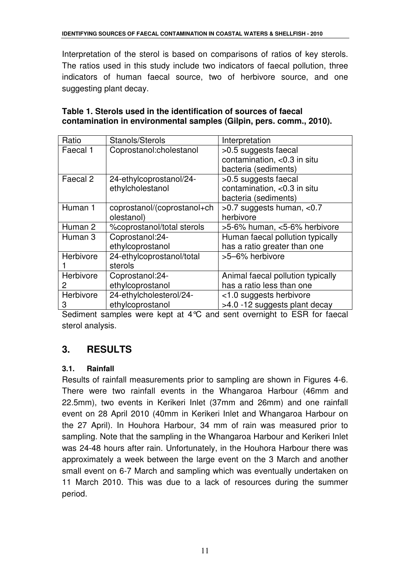Interpretation of the sterol is based on comparisons of ratios of key sterols. The ratios used in this study include two indicators of faecal pollution, three indicators of human faecal source, two of herbivore source, and one suggesting plant decay.

| Ratio     | Stanols/Sterols             | Interpretation                    |
|-----------|-----------------------------|-----------------------------------|
| Faecal 1  | Coprostanol:cholestanol     | >0.5 suggests faecal              |
|           |                             | contamination, <0.3 in situ       |
|           |                             | bacteria (sediments)              |
| Faecal 2  | 24-ethylcoprostanol/24-     | >0.5 suggests faecal              |
|           | ethylcholestanol            | contamination, <0.3 in situ       |
|           |                             | bacteria (sediments)              |
| Human 1   | coprostanol/(coprostanol+ch | $>0.7$ suggests human, $< 0.7$    |
|           | olestanol)                  | herbivore                         |
| Human 2   | %coprostanol/total sterols  | >5-6% human, <5-6% herbivore      |
| Human 3   | Coprostanol:24-             | Human faecal pollution typically  |
|           | ethylcoprostanol            | has a ratio greater than one      |
| Herbivore | 24-ethylcoprostanol/total   | >5-6% herbivore                   |
|           | sterols                     |                                   |
| Herbivore | Coprostanol:24-             | Animal faecal pollution typically |
| 2         | ethylcoprostanol            | has a ratio less than one         |
| Herbivore | 24-ethylcholesterol/24-     | <1.0 suggests herbivore           |
| 3         | ethylcoprostanol            | >4.0 -12 suggests plant decay     |

| Table 1. Sterols used in the identification of sources of faecal    |  |
|---------------------------------------------------------------------|--|
| contamination in environmental samples (Gilpin, pers. comm., 2010). |  |

Sediment samples were kept at 4°C and sent overnight to ESR for faecal sterol analysis.

# **3. RESULTS**

#### **3.1. Rainfall**

Results of rainfall measurements prior to sampling are shown in Figures 4-6. There were two rainfall events in the Whangaroa Harbour (46mm and 22.5mm), two events in Kerikeri Inlet (37mm and 26mm) and one rainfall event on 28 April 2010 (40mm in Kerikeri Inlet and Whangaroa Harbour on the 27 April). In Houhora Harbour, 34 mm of rain was measured prior to sampling. Note that the sampling in the Whangaroa Harbour and Kerikeri Inlet was 24-48 hours after rain. Unfortunately, in the Houhora Harbour there was approximately a week between the large event on the 3 March and another small event on 6-7 March and sampling which was eventually undertaken on 11 March 2010. This was due to a lack of resources during the summer period.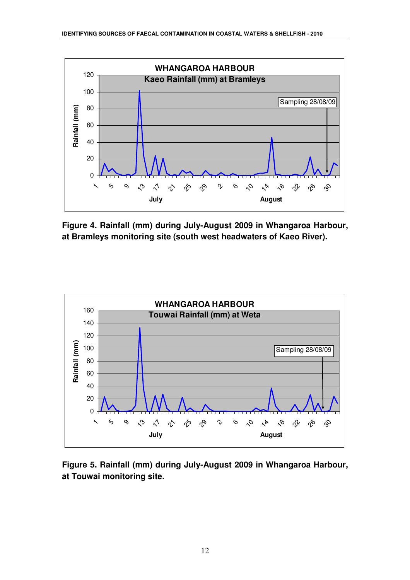

**Figure 4. Rainfall (mm) during July-August 2009 in Whangaroa Harbour, at Bramleys monitoring site (south west headwaters of Kaeo River).** 



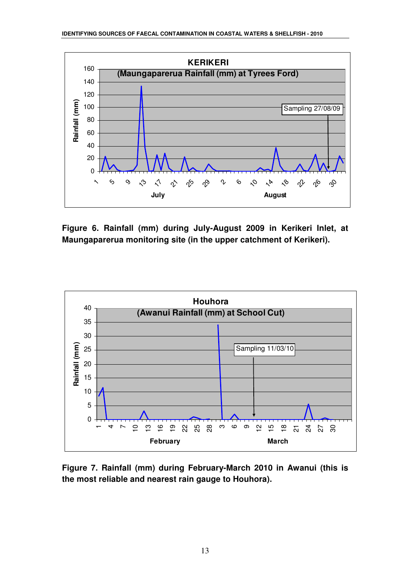

**Figure 6. Rainfall (mm) during July-August 2009 in Kerikeri Inlet, at Maungaparerua monitoring site (in the upper catchment of Kerikeri).** 



**Figure 7. Rainfall (mm) during February-March 2010 in Awanui (this is the most reliable and nearest rain gauge to Houhora).**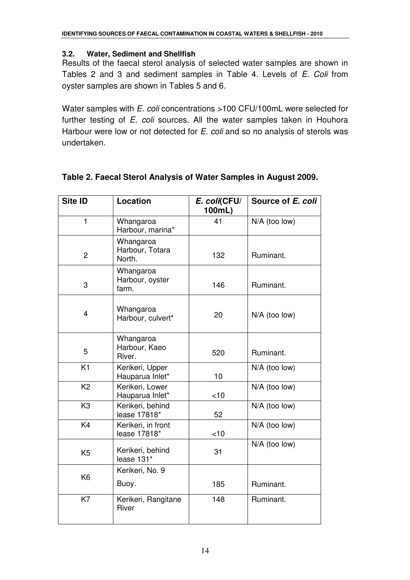#### **3.2. Water, Sediment and Shellfish**

Results of the faecal sterol analysis of selected water samples are shown in Tables 2 and 3 and sediment samples in Table 4. Levels of E. Coli from oyster samples are shown in Tables 5 and 6.

Water samples with E. coli concentrations >100 CFU/100mL were selected for further testing of E. coli sources. All the water samples taken in Houhora Harbour were low or not detected for E. coli and so no analysis of sterols was undertaken.

| Site ID        | Location                               | E. coli(CFU/<br>100mL) | Source of E. coli |
|----------------|----------------------------------------|------------------------|-------------------|
| $\mathbf{1}$   | Whangaroa<br>Harbour, marina*          | 41                     | N/A (too low)     |
| $\overline{c}$ | Whangaroa<br>Harbour, Totara<br>North. | 132                    | Ruminant.         |
| 3              | Whangaroa<br>Harbour, oyster<br>farm.  | 146                    | Ruminant.         |
| 4              | Whangaroa<br>Harbour, culvert*         | 20                     | $N/A$ (too low)   |
| 5              | Whangaroa<br>Harbour, Kaeo<br>River.   | 520                    | Ruminant.         |
| K1             | Kerikeri, Upper<br>Hauparua Inlet*     | 10                     | N/A (too low)     |
| K <sub>2</sub> | Kerikeri, Lower<br>Hauparua Inlet*     | <10                    | N/A (too low)     |
| K <sub>3</sub> | Kerikeri, behind<br>lease 17818*       | 52                     | $N/A$ (too low)   |
| K4             | Kerikeri, in front<br>lease 17818*     | $<$ 10                 | N/A (too low)     |
| K <sub>5</sub> | Kerikeri, behind<br>lease 131*         | 31                     | N/A (too low)     |
| K <sub>6</sub> | Kerikeri, No. 9                        |                        |                   |
|                | Buoy.                                  | 185                    | Ruminant.         |
| K7             | Kerikeri, Rangitane<br>River           | 148                    | Ruminant.         |

### **Table 2. Faecal Sterol Analysis of Water Samples in August 2009.**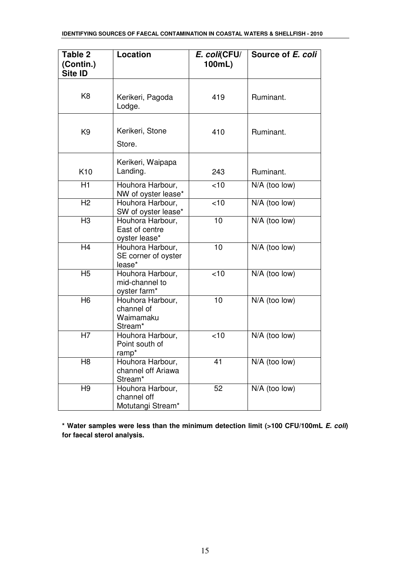| Table 2<br>(Contin.)<br>Site ID | Location                                               | E. coli(CFU/<br>100mL) | Source of E. coli |
|---------------------------------|--------------------------------------------------------|------------------------|-------------------|
| K <sub>8</sub>                  | Kerikeri, Pagoda<br>Lodge.                             | 419                    | Ruminant.         |
| K <sub>9</sub>                  | Kerikeri, Stone<br>Store.                              | 410                    | Ruminant.         |
| K <sub>10</sub>                 | Kerikeri, Waipapa<br>Landing.                          | 243                    | Ruminant.         |
| H1                              | Houhora Harbour,<br>NW of oyster lease*                | <10                    | $N/A$ (too low)   |
| H <sub>2</sub>                  | Houhora Harbour,<br>SW of oyster lease*                | <10                    | N/A (too low)     |
| H <sub>3</sub>                  | Houhora Harbour,<br>East of centre<br>oyster lease*    | 10                     | N/A (too low)     |
| H4                              | Houhora Harbour,<br>SE corner of oyster<br>lease*      | 10                     | $N/A$ (too low)   |
| H <sub>5</sub>                  | Houhora Harbour,<br>mid-channel to<br>oyster farm*     | <10                    | N/A (too low)     |
| H <sub>6</sub>                  | Houhora Harbour,<br>channel of<br>Waimamaku<br>Stream* | 10                     | $N/A$ (too low)   |
| H7                              | Houhora Harbour,<br>Point south of<br>ramp*            | <10                    | $N/A$ (too low)   |
| H8                              | Houhora Harbour,<br>channel off Ariawa<br>Stream*      | 41                     | $N/A$ (too low)   |
| H <sub>9</sub>                  | Houhora Harbour,<br>channel off<br>Motutangi Stream*   | 52                     | N/A (too low)     |

**\* Water samples were less than the minimum detection limit (>100 CFU/100mL E. coli) for faecal sterol analysis.**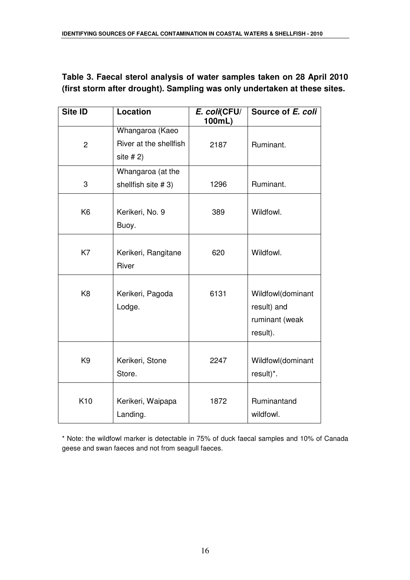#### **Table 3. Faecal sterol analysis of water samples taken on 28 April 2010 (first storm after drought). Sampling was only undertaken at these sites.**

| Site ID        | Location                                                 | E. coli(CFU/<br>100mL) | Source of E. coli                                              |
|----------------|----------------------------------------------------------|------------------------|----------------------------------------------------------------|
| $\overline{c}$ | Whangaroa (Kaeo<br>River at the shellfish<br>site $# 2)$ | 2187                   | Ruminant.                                                      |
| 3              | Whangaroa (at the<br>shellfish site #3)                  | 1296                   | Ruminant.                                                      |
| K <sub>6</sub> | Kerikeri, No. 9<br>Buoy.                                 | 389                    | Wildfowl.                                                      |
| K7             | Kerikeri, Rangitane<br>River                             | 620                    | Wildfowl.                                                      |
| K <sub>8</sub> | Kerikeri, Pagoda<br>Lodge.                               | 6131                   | Wildfowl(dominant<br>result) and<br>ruminant (weak<br>result). |
| K <sub>9</sub> | Kerikeri, Stone<br>Store.                                | 2247                   | Wildfowl(dominant<br>result)*.                                 |
| K10            | Kerikeri, Waipapa<br>Landing.                            | 1872                   | Ruminantand<br>wildfowl.                                       |

\* Note: the wildfowl marker is detectable in 75% of duck faecal samples and 10% of Canada geese and swan faeces and not from seagull faeces.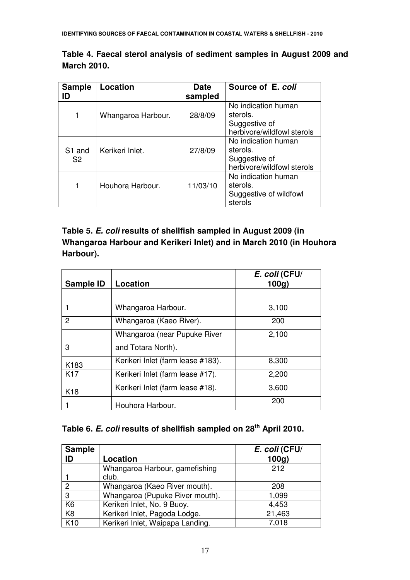| <b>Sample</b>      | Location           | Date     | Source of E. coli          |
|--------------------|--------------------|----------|----------------------------|
| ID                 |                    | sampled  |                            |
|                    |                    |          | No indication human        |
| 1                  | Whangaroa Harbour. | 28/8/09  | sterols.                   |
|                    |                    |          | Suggestive of              |
|                    |                    |          | herbivore/wildfowl sterols |
|                    |                    |          | No indication human        |
| S <sub>1</sub> and | Kerikeri Inlet.    | 27/8/09  | sterols.                   |
| S2                 |                    |          | Suggestive of              |
|                    |                    |          | herbivore/wildfowl sterols |
|                    |                    |          | No indication human        |
|                    | Houhora Harbour.   | 11/03/10 | sterols.                   |
|                    |                    |          | Suggestive of wildfowl     |
|                    |                    |          | sterols                    |

**Table 4. Faecal sterol analysis of sediment samples in August 2009 and March 2010.** 

### **Table 5. E. coli results of shellfish sampled in August 2009 (in Whangaroa Harbour and Kerikeri Inlet) and in March 2010 (in Houhora Harbour).**

| Sample ID       | Location                          | E. coli (CFU/<br>100q |
|-----------------|-----------------------------------|-----------------------|
|                 |                                   |                       |
|                 | Whangaroa Harbour.                | 3,100                 |
| $\overline{2}$  | Whangaroa (Kaeo River).           | 200                   |
|                 | Whangaroa (near Pupuke River      | 2,100                 |
| 3               | and Totara North).                |                       |
| K183            | Kerikeri Inlet (farm lease #183). | 8,300                 |
| K <sub>17</sub> | Kerikeri Inlet (farm lease #17).  | 2,200                 |
| K <sub>18</sub> | Kerikeri Inlet (farm lease #18).  | 3,600                 |
|                 | Houhora Harbour.                  | 200                   |

## **Table 6. E. coli results of shellfish sampled on 28th April 2010.**

| <b>Sample</b><br>ID | Location                         | E. coli (CFU/<br>100g |
|---------------------|----------------------------------|-----------------------|
|                     | Whangaroa Harbour, gamefishing   | 212                   |
|                     | club.                            |                       |
| $\overline{2}$      | Whangaroa (Kaeo River mouth).    | 208                   |
| 3                   | Whangaroa (Pupuke River mouth).  | 1,099                 |
| K <sub>6</sub>      | Kerikeri Inlet, No. 9 Buoy.      | 4,453                 |
| K <sub>8</sub>      | Kerikeri Inlet, Pagoda Lodge.    | 21,463                |
| K <sub>10</sub>     | Kerikeri Inlet, Waipapa Landing. | 7,018                 |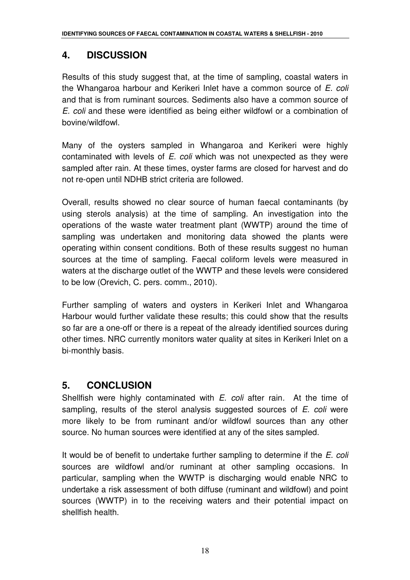## **4. DISCUSSION**

Results of this study suggest that, at the time of sampling, coastal waters in the Whangaroa harbour and Kerikeri Inlet have a common source of E. coli and that is from ruminant sources. Sediments also have a common source of E. coli and these were identified as being either wildfowl or a combination of bovine/wildfowl.

Many of the oysters sampled in Whangaroa and Kerikeri were highly contaminated with levels of E. coli which was not unexpected as they were sampled after rain. At these times, oyster farms are closed for harvest and do not re-open until NDHB strict criteria are followed.

Overall, results showed no clear source of human faecal contaminants (by using sterols analysis) at the time of sampling. An investigation into the operations of the waste water treatment plant (WWTP) around the time of sampling was undertaken and monitoring data showed the plants were operating within consent conditions. Both of these results suggest no human sources at the time of sampling. Faecal coliform levels were measured in waters at the discharge outlet of the WWTP and these levels were considered to be low (Orevich, C. pers. comm., 2010).

Further sampling of waters and oysters in Kerikeri Inlet and Whangaroa Harbour would further validate these results; this could show that the results so far are a one-off or there is a repeat of the already identified sources during other times. NRC currently monitors water quality at sites in Kerikeri Inlet on a bi-monthly basis.

## **5. CONCLUSION**

Shellfish were highly contaminated with E. coli after rain. At the time of sampling, results of the sterol analysis suggested sources of  $E$ . coli were more likely to be from ruminant and/or wildfowl sources than any other source. No human sources were identified at any of the sites sampled.

It would be of benefit to undertake further sampling to determine if the E. coli sources are wildfowl and/or ruminant at other sampling occasions. In particular, sampling when the WWTP is discharging would enable NRC to undertake a risk assessment of both diffuse (ruminant and wildfowl) and point sources (WWTP) in to the receiving waters and their potential impact on shellfish health.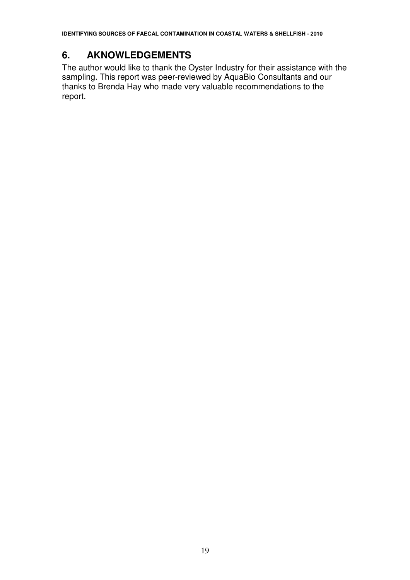## **6. AKNOWLEDGEMENTS**

The author would like to thank the Oyster Industry for their assistance with the sampling. This report was peer-reviewed by AquaBio Consultants and our thanks to Brenda Hay who made very valuable recommendations to the report.